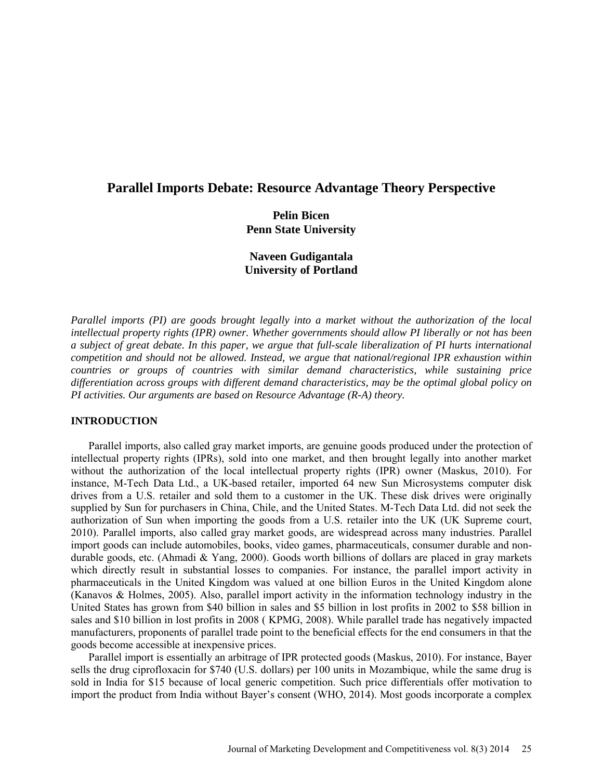# **Parallel Imports Debate: Resource Advantage Theory Perspective**

# **Pelin Bicen Penn State University**

# **Naveen Gudigantala University of Portland**

*Parallel imports (PI) are goods brought legally into a market without the authorization of the local intellectual property rights (IPR) owner. Whether governments should allow PI liberally or not has been a subject of great debate. In this paper, we argue that full-scale liberalization of PI hurts international competition and should not be allowed. Instead, we argue that national/regional IPR exhaustion within countries or groups of countries with similar demand characteristics, while sustaining price differentiation across groups with different demand characteristics, may be the optimal global policy on PI activities. Our arguments are based on Resource Advantage (R-A) theory.* 

## **INTRODUCTION**

Parallel imports, also called gray market imports, are genuine goods produced under the protection of intellectual property rights (IPRs), sold into one market, and then brought legally into another market without the authorization of the local intellectual property rights (IPR) owner (Maskus, 2010). For instance, M-Tech Data Ltd., a UK-based retailer, imported 64 new Sun Microsystems computer disk drives from a U.S. retailer and sold them to a customer in the UK. These disk drives were originally supplied by Sun for purchasers in China, Chile, and the United States. M-Tech Data Ltd. did not seek the authorization of Sun when importing the goods from a U.S. retailer into the UK (UK Supreme court, 2010). Parallel imports, also called gray market goods, are widespread across many industries. Parallel import goods can include automobiles, books, video games, pharmaceuticals, consumer durable and nondurable goods, etc. (Ahmadi & Yang, 2000). Goods worth billions of dollars are placed in gray markets which directly result in substantial losses to companies. For instance, the parallel import activity in pharmaceuticals in the United Kingdom was valued at one billion Euros in the United Kingdom alone (Kanavos & Holmes, 2005). Also, parallel import activity in the information technology industry in the United States has grown from \$40 billion in sales and \$5 billion in lost profits in 2002 to \$58 billion in sales and \$10 billion in lost profits in 2008 ( KPMG, 2008). While parallel trade has negatively impacted manufacturers, proponents of parallel trade point to the beneficial effects for the end consumers in that the goods become accessible at inexpensive prices.

Parallel import is essentially an arbitrage of IPR protected goods (Maskus, 2010). For instance, Bayer sells the drug ciprofloxacin for \$740 (U.S. dollars) per 100 units in Mozambique, while the same drug is sold in India for \$15 because of local generic competition. Such price differentials offer motivation to import the product from India without Bayer's consent (WHO, 2014). Most goods incorporate a complex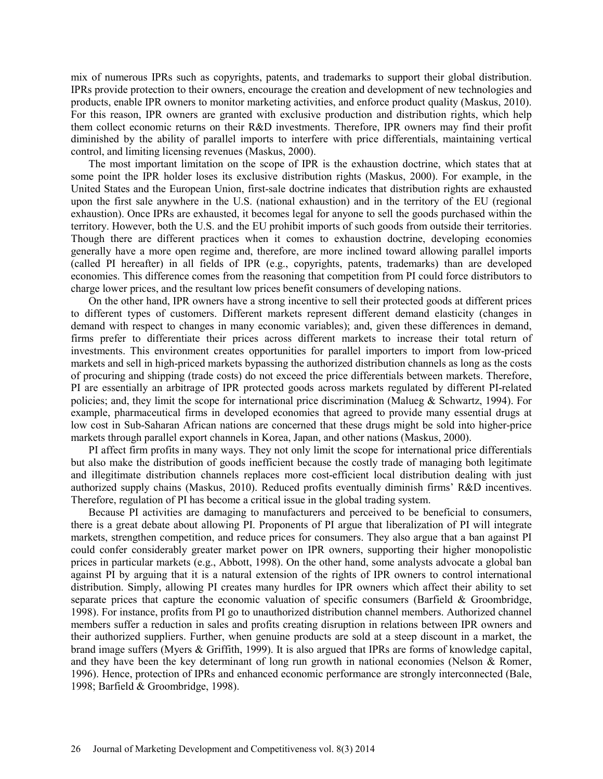mix of numerous IPRs such as copyrights, patents, and trademarks to support their global distribution. IPRs provide protection to their owners, encourage the creation and development of new technologies and products, enable IPR owners to monitor marketing activities, and enforce product quality (Maskus, 2010). For this reason, IPR owners are granted with exclusive production and distribution rights, which help them collect economic returns on their R&D investments. Therefore, IPR owners may find their profit diminished by the ability of parallel imports to interfere with price differentials, maintaining vertical control, and limiting licensing revenues (Maskus, 2000).

The most important limitation on the scope of IPR is the exhaustion doctrine, which states that at some point the IPR holder loses its exclusive distribution rights (Maskus, 2000). For example, in the United States and the European Union, first-sale doctrine indicates that distribution rights are exhausted upon the first sale anywhere in the U.S. (national exhaustion) and in the territory of the EU (regional exhaustion). Once IPRs are exhausted, it becomes legal for anyone to sell the goods purchased within the territory. However, both the U.S. and the EU prohibit imports of such goods from outside their territories. Though there are different practices when it comes to exhaustion doctrine, developing economies generally have a more open regime and, therefore, are more inclined toward allowing parallel imports (called PI hereafter) in all fields of IPR (e.g., copyrights, patents, trademarks) than are developed economies. This difference comes from the reasoning that competition from PI could force distributors to charge lower prices, and the resultant low prices benefit consumers of developing nations.

On the other hand, IPR owners have a strong incentive to sell their protected goods at different prices to different types of customers. Different markets represent different demand elasticity (changes in demand with respect to changes in many economic variables); and, given these differences in demand, firms prefer to differentiate their prices across different markets to increase their total return of investments. This environment creates opportunities for parallel importers to import from low-priced markets and sell in high-priced markets bypassing the authorized distribution channels as long as the costs of procuring and shipping (trade costs) do not exceed the price differentials between markets. Therefore, PI are essentially an arbitrage of IPR protected goods across markets regulated by different PI-related policies; and, they limit the scope for international price discrimination (Malueg & Schwartz, 1994). For example, pharmaceutical firms in developed economies that agreed to provide many essential drugs at low cost in Sub-Saharan African nations are concerned that these drugs might be sold into higher-price markets through parallel export channels in Korea, Japan, and other nations (Maskus, 2000).

PI affect firm profits in many ways. They not only limit the scope for international price differentials but also make the distribution of goods inefficient because the costly trade of managing both legitimate and illegitimate distribution channels replaces more cost-efficient local distribution dealing with just authorized supply chains (Maskus, 2010). Reduced profits eventually diminish firms' R&D incentives. Therefore, regulation of PI has become a critical issue in the global trading system.

Because PI activities are damaging to manufacturers and perceived to be beneficial to consumers, there is a great debate about allowing PI. Proponents of PI argue that liberalization of PI will integrate markets, strengthen competition, and reduce prices for consumers. They also argue that a ban against PI could confer considerably greater market power on IPR owners, supporting their higher monopolistic prices in particular markets (e.g., Abbott, 1998). On the other hand, some analysts advocate a global ban against PI by arguing that it is a natural extension of the rights of IPR owners to control international distribution. Simply, allowing PI creates many hurdles for IPR owners which affect their ability to set separate prices that capture the economic valuation of specific consumers (Barfield & Groombridge, 1998). For instance, profits from PI go to unauthorized distribution channel members. Authorized channel members suffer a reduction in sales and profits creating disruption in relations between IPR owners and their authorized suppliers. Further, when genuine products are sold at a steep discount in a market, the brand image suffers (Myers & Griffith, 1999). It is also argued that IPRs are forms of knowledge capital, and they have been the key determinant of long run growth in national economies (Nelson & Romer, 1996). Hence, protection of IPRs and enhanced economic performance are strongly interconnected (Bale, 1998; Barfield & Groombridge, 1998).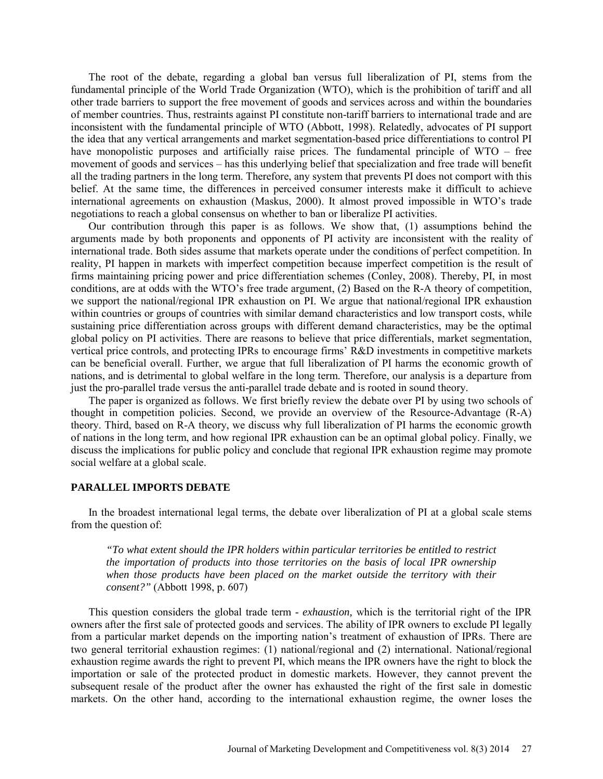The root of the debate, regarding a global ban versus full liberalization of PI, stems from the fundamental principle of the World Trade Organization (WTO), which is the prohibition of tariff and all other trade barriers to support the free movement of goods and services across and within the boundaries of member countries. Thus, restraints against PI constitute non-tariff barriers to international trade and are inconsistent with the fundamental principle of WTO (Abbott, 1998). Relatedly, advocates of PI support the idea that any vertical arrangements and market segmentation-based price differentiations to control PI have monopolistic purposes and artificially raise prices. The fundamental principle of WTO – free movement of goods and services – has this underlying belief that specialization and free trade will benefit all the trading partners in the long term. Therefore, any system that prevents PI does not comport with this belief. At the same time, the differences in perceived consumer interests make it difficult to achieve international agreements on exhaustion (Maskus, 2000). It almost proved impossible in WTO's trade negotiations to reach a global consensus on whether to ban or liberalize PI activities.

Our contribution through this paper is as follows. We show that, (1) assumptions behind the arguments made by both proponents and opponents of PI activity are inconsistent with the reality of international trade. Both sides assume that markets operate under the conditions of perfect competition. In reality, PI happen in markets with imperfect competition because imperfect competition is the result of firms maintaining pricing power and price differentiation schemes (Conley, 2008). Thereby, PI, in most conditions, are at odds with the WTO's free trade argument, (2) Based on the R-A theory of competition, we support the national/regional IPR exhaustion on PI. We argue that national/regional IPR exhaustion within countries or groups of countries with similar demand characteristics and low transport costs, while sustaining price differentiation across groups with different demand characteristics, may be the optimal global policy on PI activities. There are reasons to believe that price differentials, market segmentation, vertical price controls, and protecting IPRs to encourage firms' R&D investments in competitive markets can be beneficial overall. Further, we argue that full liberalization of PI harms the economic growth of nations, and is detrimental to global welfare in the long term. Therefore, our analysis is a departure from just the pro-parallel trade versus the anti-parallel trade debate and is rooted in sound theory.

The paper is organized as follows. We first briefly review the debate over PI by using two schools of thought in competition policies. Second, we provide an overview of the Resource-Advantage (R-A) theory. Third, based on R-A theory, we discuss why full liberalization of PI harms the economic growth of nations in the long term, and how regional IPR exhaustion can be an optimal global policy. Finally, we discuss the implications for public policy and conclude that regional IPR exhaustion regime may promote social welfare at a global scale.

#### **PARALLEL IMPORTS DEBATE**

In the broadest international legal terms, the debate over liberalization of PI at a global scale stems from the question of:

*"To what extent should the IPR holders within particular territories be entitled to restrict the importation of products into those territories on the basis of local IPR ownership when those products have been placed on the market outside the territory with their consent?"* (Abbott 1998, p. 607)

This question considers the global trade term - *exhaustion,* which is the territorial right of the IPR owners after the first sale of protected goods and services. The ability of IPR owners to exclude PI legally from a particular market depends on the importing nation's treatment of exhaustion of IPRs. There are two general territorial exhaustion regimes: (1) national/regional and (2) international. National/regional exhaustion regime awards the right to prevent PI, which means the IPR owners have the right to block the importation or sale of the protected product in domestic markets. However, they cannot prevent the subsequent resale of the product after the owner has exhausted the right of the first sale in domestic markets. On the other hand, according to the international exhaustion regime, the owner loses the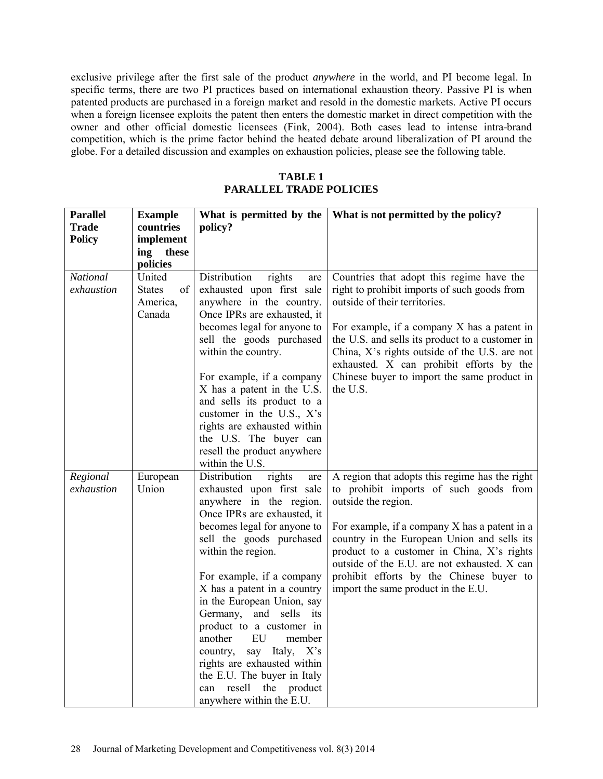exclusive privilege after the first sale of the product *anywhere* in the world, and PI become legal. In specific terms, there are two PI practices based on international exhaustion theory. Passive PI is when patented products are purchased in a foreign market and resold in the domestic markets. Active PI occurs when a foreign licensee exploits the patent then enters the domestic market in direct competition with the owner and other official domestic licensees (Fink, 2004). Both cases lead to intense intra-brand competition, which is the prime factor behind the heated debate around liberalization of PI around the globe. For a detailed discussion and examples on exhaustion policies, please see the following table.

**TABLE 1 PARALLEL TRADE POLICIES**

| <b>Parallel</b> | <b>Example</b>      | What is permitted by the                               | What is not permitted by the policy?                          |
|-----------------|---------------------|--------------------------------------------------------|---------------------------------------------------------------|
| <b>Trade</b>    | countries           | policy?                                                |                                                               |
| <b>Policy</b>   | implement           |                                                        |                                                               |
|                 | these<br>ing        |                                                        |                                                               |
|                 | policies            |                                                        |                                                               |
| <b>National</b> | United              | Distribution<br>rights<br>are                          | Countries that adopt this regime have the                     |
| exhaustion      | of<br><b>States</b> | exhausted upon first sale                              | right to prohibit imports of such goods from                  |
|                 | America,            | anywhere in the country.                               | outside of their territories.                                 |
|                 | Canada              | Once IPRs are exhausted, it                            |                                                               |
|                 |                     | becomes legal for anyone to                            | For example, if a company X has a patent in                   |
|                 |                     | sell the goods purchased                               | the U.S. and sells its product to a customer in               |
|                 |                     | within the country.                                    | China, X's rights outside of the U.S. are not                 |
|                 |                     |                                                        | exhausted. X can prohibit efforts by the                      |
|                 |                     | For example, if a company                              | Chinese buyer to import the same product in                   |
|                 |                     | X has a patent in the U.S.                             | the U.S.                                                      |
|                 |                     | and sells its product to a                             |                                                               |
|                 |                     | customer in the U.S., X's                              |                                                               |
|                 |                     | rights are exhausted within                            |                                                               |
|                 |                     | the U.S. The buyer can                                 |                                                               |
|                 |                     | resell the product anywhere                            |                                                               |
|                 |                     | within the U.S.                                        |                                                               |
| Regional        | European            | Distribution<br>rights<br>are                          | A region that adopts this regime has the right                |
| exhaustion      | Union               | exhausted upon first sale                              | to prohibit imports of such goods from<br>outside the region. |
|                 |                     | anywhere in the region.<br>Once IPRs are exhausted, it |                                                               |
|                 |                     | becomes legal for anyone to                            | For example, if a company X has a patent in a                 |
|                 |                     | sell the goods purchased                               | country in the European Union and sells its                   |
|                 |                     | within the region.                                     | product to a customer in China, X's rights                    |
|                 |                     |                                                        | outside of the E.U. are not exhausted. X can                  |
|                 |                     | For example, if a company                              | prohibit efforts by the Chinese buyer to                      |
|                 |                     | X has a patent in a country                            | import the same product in the E.U.                           |
|                 |                     | in the European Union, say                             |                                                               |
|                 |                     | Germany,<br>and sells its                              |                                                               |
|                 |                     | product to a customer in                               |                                                               |
|                 |                     | EU<br>another<br>member                                |                                                               |
|                 |                     | say Italy, X's<br>country,                             |                                                               |
|                 |                     | rights are exhausted within                            |                                                               |
|                 |                     | the E.U. The buyer in Italy                            |                                                               |
|                 |                     | resell<br>the<br>product<br>can                        |                                                               |
|                 |                     | anywhere within the E.U.                               |                                                               |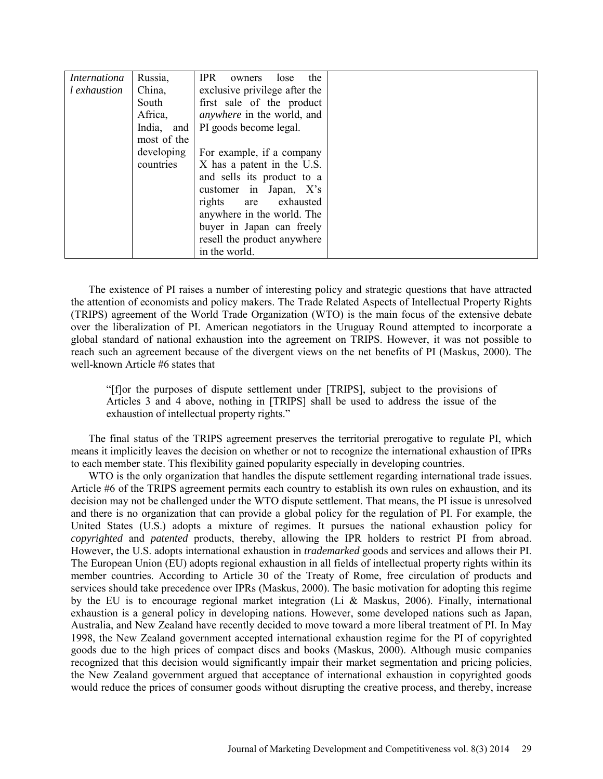| <i>Internationa</i> | Russia,     | <b>IPR</b><br>the<br>lose<br>owners |  |
|---------------------|-------------|-------------------------------------|--|
| l exhaustion        | China,      | exclusive privilege after the       |  |
|                     | South       | first sale of the product           |  |
|                     | Africa,     | <i>anywhere</i> in the world, and   |  |
|                     | India, and  | PI goods become legal.              |  |
|                     | most of the |                                     |  |
|                     | developing  | For example, if a company           |  |
|                     | countries   | X has a patent in the U.S.          |  |
|                     |             | and sells its product to a          |  |
|                     |             | customer in Japan, X's              |  |
|                     |             | rights are<br>exhausted             |  |
|                     |             | anywhere in the world. The          |  |
|                     |             | buyer in Japan can freely           |  |
|                     |             | resell the product anywhere         |  |
|                     |             | in the world.                       |  |

The existence of PI raises a number of interesting policy and strategic questions that have attracted the attention of economists and policy makers. The Trade Related Aspects of Intellectual Property Rights (TRIPS) agreement of the World Trade Organization (WTO) is the main focus of the extensive debate over the liberalization of PI. American negotiators in the Uruguay Round attempted to incorporate a global standard of national exhaustion into the agreement on TRIPS. However, it was not possible to reach such an agreement because of the divergent views on the net benefits of PI (Maskus, 2000). The well-known Article #6 states that

"[f]or the purposes of dispute settlement under [TRIPS], subject to the provisions of Articles 3 and 4 above, nothing in [TRIPS] shall be used to address the issue of the exhaustion of intellectual property rights."

The final status of the TRIPS agreement preserves the territorial prerogative to regulate PI, which means it implicitly leaves the decision on whether or not to recognize the international exhaustion of IPRs to each member state. This flexibility gained popularity especially in developing countries.

WTO is the only organization that handles the dispute settlement regarding international trade issues. Article #6 of the TRIPS agreement permits each country to establish its own rules on exhaustion, and its decision may not be challenged under the WTO dispute settlement. That means, the PI issue is unresolved and there is no organization that can provide a global policy for the regulation of PI. For example, the United States (U.S.) adopts a mixture of regimes. It pursues the national exhaustion policy for *copyrighted* and *patented* products, thereby, allowing the IPR holders to restrict PI from abroad. However, the U.S. adopts international exhaustion in *trademarked* goods and services and allows their PI. The European Union (EU) adopts regional exhaustion in all fields of intellectual property rights within its member countries. According to Article 30 of the Treaty of Rome, free circulation of products and services should take precedence over IPRs (Maskus, 2000). The basic motivation for adopting this regime by the EU is to encourage regional market integration (Li & Maskus, 2006). Finally, international exhaustion is a general policy in developing nations. However, some developed nations such as Japan, Australia, and New Zealand have recently decided to move toward a more liberal treatment of PI. In May 1998, the New Zealand government accepted international exhaustion regime for the PI of copyrighted goods due to the high prices of compact discs and books (Maskus, 2000). Although music companies recognized that this decision would significantly impair their market segmentation and pricing policies, the New Zealand government argued that acceptance of international exhaustion in copyrighted goods would reduce the prices of consumer goods without disrupting the creative process, and thereby, increase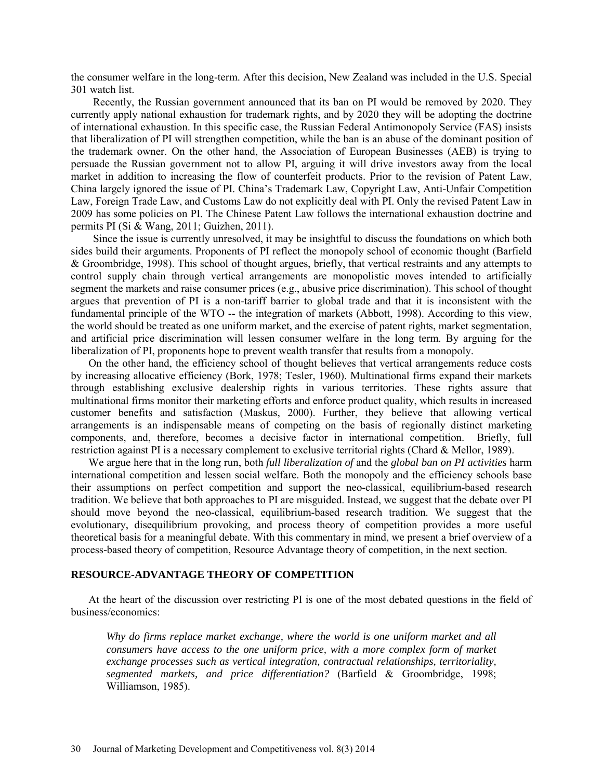the consumer welfare in the long-term. After this decision, New Zealand was included in the U.S. Special 301 watch list.

Recently, the Russian government announced that its ban on PI would be removed by 2020. They currently apply national exhaustion for trademark rights, and by 2020 they will be adopting the doctrine of international exhaustion. In this specific case, the Russian Federal Antimonopoly Service (FAS) insists that liberalization of PI will strengthen competition, while the ban is an abuse of the dominant position of the trademark owner. On the other hand, the Association of European Businesses (AEB) is trying to persuade the Russian government not to allow PI, arguing it will drive investors away from the local market in addition to increasing the flow of counterfeit products. Prior to the revision of Patent Law, China largely ignored the issue of PI. China's Trademark Law, Copyright Law, Anti-Unfair Competition Law, Foreign Trade Law, and Customs Law do not explicitly deal with PI. Only the revised Patent Law in 2009 has some policies on PI. The Chinese Patent Law follows the international exhaustion doctrine and permits PI (Si & Wang, 2011; Guizhen, 2011).

Since the issue is currently unresolved, it may be insightful to discuss the foundations on which both sides build their arguments. Proponents of PI reflect the monopoly school of economic thought (Barfield & Groombridge, 1998). This school of thought argues, briefly, that vertical restraints and any attempts to control supply chain through vertical arrangements are monopolistic moves intended to artificially segment the markets and raise consumer prices (e.g., abusive price discrimination). This school of thought argues that prevention of PI is a non-tariff barrier to global trade and that it is inconsistent with the fundamental principle of the WTO -- the integration of markets (Abbott, 1998). According to this view, the world should be treated as one uniform market, and the exercise of patent rights, market segmentation, and artificial price discrimination will lessen consumer welfare in the long term. By arguing for the liberalization of PI, proponents hope to prevent wealth transfer that results from a monopoly.

On the other hand, the efficiency school of thought believes that vertical arrangements reduce costs by increasing allocative efficiency (Bork, 1978; Tesler, 1960). Multinational firms expand their markets through establishing exclusive dealership rights in various territories. These rights assure that multinational firms monitor their marketing efforts and enforce product quality, which results in increased customer benefits and satisfaction (Maskus, 2000). Further, they believe that allowing vertical arrangements is an indispensable means of competing on the basis of regionally distinct marketing components, and, therefore, becomes a decisive factor in international competition. Briefly, full restriction against PI is a necessary complement to exclusive territorial rights (Chard & Mellor, 1989).

We argue here that in the long run, both *full liberalization of* and the *global ban on PI activities* harm international competition and lessen social welfare. Both the monopoly and the efficiency schools base their assumptions on perfect competition and support the neo-classical, equilibrium-based research tradition. We believe that both approaches to PI are misguided. Instead, we suggest that the debate over PI should move beyond the neo-classical, equilibrium-based research tradition. We suggest that the evolutionary, disequilibrium provoking, and process theory of competition provides a more useful theoretical basis for a meaningful debate. With this commentary in mind, we present a brief overview of a process-based theory of competition, Resource Advantage theory of competition, in the next section.

## **RESOURCE-ADVANTAGE THEORY OF COMPETITION**

At the heart of the discussion over restricting PI is one of the most debated questions in the field of business/economics:

*Why do firms replace market exchange, where the world is one uniform market and all consumers have access to the one uniform price, with a more complex form of market exchange processes such as vertical integration, contractual relationships, territoriality, segmented markets, and price differentiation?* (Barfield & Groombridge, 1998; Williamson, 1985).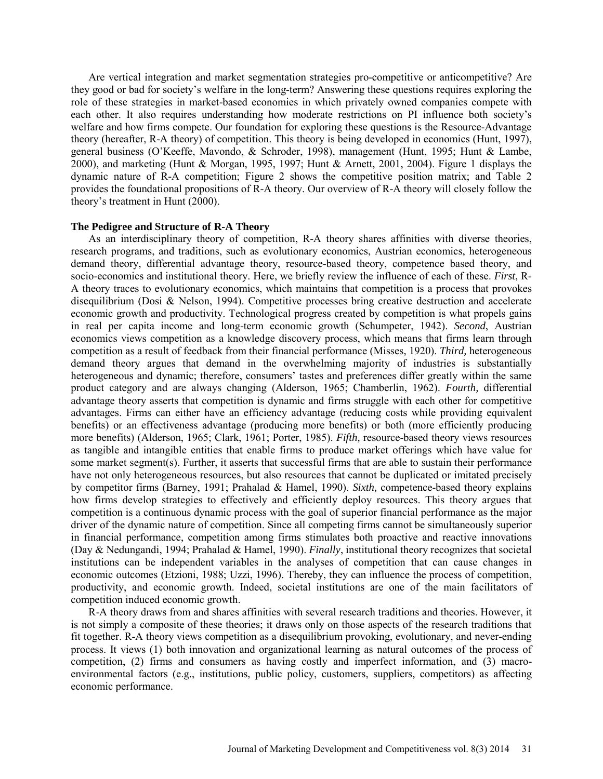Are vertical integration and market segmentation strategies pro-competitive or anticompetitive? Are they good or bad for society's welfare in the long-term? Answering these questions requires exploring the role of these strategies in market-based economies in which privately owned companies compete with each other. It also requires understanding how moderate restrictions on PI influence both society's welfare and how firms compete. Our foundation for exploring these questions is the Resource-Advantage theory (hereafter, R-A theory) of competition. This theory is being developed in economics (Hunt, 1997), general business (O'Keeffe, Mavondo, & Schroder, 1998), management (Hunt, 1995; Hunt & Lambe, 2000), and marketing (Hunt & Morgan, 1995, 1997; Hunt & Arnett, 2001, 2004). Figure 1 displays the dynamic nature of R-A competition; Figure 2 shows the competitive position matrix; and Table 2 provides the foundational propositions of R-A theory. Our overview of R-A theory will closely follow the theory's treatment in Hunt (2000).

## **The Pedigree and Structure of R-A Theory**

As an interdisciplinary theory of competition, R-A theory shares affinities with diverse theories, research programs, and traditions, such as evolutionary economics, Austrian economics, heterogeneous demand theory, differential advantage theory, resource-based theory, competence based theory, and socio-economics and institutional theory. Here, we briefly review the influence of each of these. *First*, R-A theory traces to evolutionary economics, which maintains that competition is a process that provokes disequilibrium (Dosi & Nelson, 1994). Competitive processes bring creative destruction and accelerate economic growth and productivity. Technological progress created by competition is what propels gains in real per capita income and long-term economic growth (Schumpeter, 1942). *Second*, Austrian economics views competition as a knowledge discovery process, which means that firms learn through competition as a result of feedback from their financial performance (Misses, 1920). *Third,* heterogeneous demand theory argues that demand in the overwhelming majority of industries is substantially heterogeneous and dynamic; therefore, consumers' tastes and preferences differ greatly within the same product category and are always changing (Alderson, 1965; Chamberlin, 1962). *Fourth,* differential advantage theory asserts that competition is dynamic and firms struggle with each other for competitive advantages. Firms can either have an efficiency advantage (reducing costs while providing equivalent benefits) or an effectiveness advantage (producing more benefits) or both (more efficiently producing more benefits) (Alderson, 1965; Clark, 1961; Porter, 1985). *Fifth,* resource-based theory views resources as tangible and intangible entities that enable firms to produce market offerings which have value for some market segment(s). Further, it asserts that successful firms that are able to sustain their performance have not only heterogeneous resources, but also resources that cannot be duplicated or imitated precisely by competitor firms (Barney, 1991; Prahalad & Hamel, 1990). *Sixth,* competence-based theory explains how firms develop strategies to effectively and efficiently deploy resources. This theory argues that competition is a continuous dynamic process with the goal of superior financial performance as the major driver of the dynamic nature of competition. Since all competing firms cannot be simultaneously superior in financial performance, competition among firms stimulates both proactive and reactive innovations (Day & Nedungandi, 1994; Prahalad & Hamel, 1990). *Finally*, institutional theory recognizes that societal institutions can be independent variables in the analyses of competition that can cause changes in economic outcomes (Etzioni, 1988; Uzzi, 1996). Thereby, they can influence the process of competition, productivity, and economic growth. Indeed, societal institutions are one of the main facilitators of competition induced economic growth.

R-A theory draws from and shares affinities with several research traditions and theories. However, it is not simply a composite of these theories; it draws only on those aspects of the research traditions that fit together. R-A theory views competition as a disequilibrium provoking, evolutionary, and never-ending process. It views (1) both innovation and organizational learning as natural outcomes of the process of competition, (2) firms and consumers as having costly and imperfect information, and (3) macroenvironmental factors (e.g., institutions, public policy, customers, suppliers, competitors) as affecting economic performance.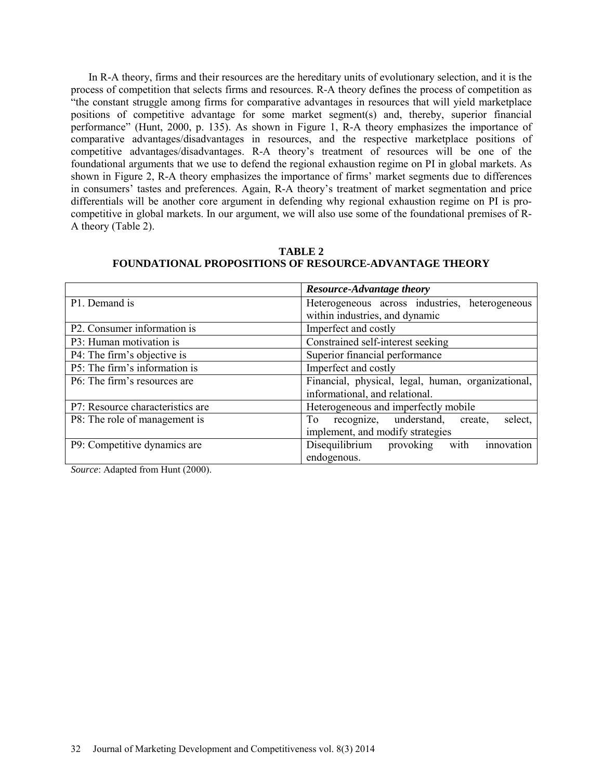In R-A theory, firms and their resources are the hereditary units of evolutionary selection, and it is the process of competition that selects firms and resources. R-A theory defines the process of competition as "the constant struggle among firms for comparative advantages in resources that will yield marketplace positions of competitive advantage for some market segment(s) and, thereby, superior financial performance" (Hunt, 2000, p. 135). As shown in Figure 1, R-A theory emphasizes the importance of comparative advantages/disadvantages in resources, and the respective marketplace positions of competitive advantages/disadvantages. R-A theory's treatment of resources will be one of the foundational arguments that we use to defend the regional exhaustion regime on PI in global markets. As shown in Figure 2, R-A theory emphasizes the importance of firms' market segments due to differences in consumers' tastes and preferences. Again, R-A theory's treatment of market segmentation and price differentials will be another core argument in defending why regional exhaustion regime on PI is procompetitive in global markets. In our argument, we will also use some of the foundational premises of R-A theory (Table 2).

|                                  | <b>Resource-Advantage theory</b>                   |  |  |  |
|----------------------------------|----------------------------------------------------|--|--|--|
| P1. Demand is                    | Heterogeneous across industries, heterogeneous     |  |  |  |
|                                  | within industries, and dynamic                     |  |  |  |
| P2. Consumer information is      | Imperfect and costly                               |  |  |  |
| P3: Human motivation is          | Constrained self-interest seeking                  |  |  |  |
| P4: The firm's objective is      | Superior financial performance                     |  |  |  |
| P5: The firm's information is    | Imperfect and costly                               |  |  |  |
| P6: The firm's resources are     | Financial, physical, legal, human, organizational, |  |  |  |
|                                  | informational, and relational.                     |  |  |  |
| P7: Resource characteristics are | Heterogeneous and imperfectly mobile               |  |  |  |
| P8: The role of management is    | recognize, understand,<br>To<br>select,<br>create, |  |  |  |
|                                  | implement, and modify strategies                   |  |  |  |
| P9: Competitive dynamics are     | Disequilibrium provoking<br>innovation<br>with     |  |  |  |
|                                  | endogenous.                                        |  |  |  |

## **TABLE 2 FOUNDATIONAL PROPOSITIONS OF RESOURCE-ADVANTAGE THEORY**

*Source*: Adapted from Hunt (2000).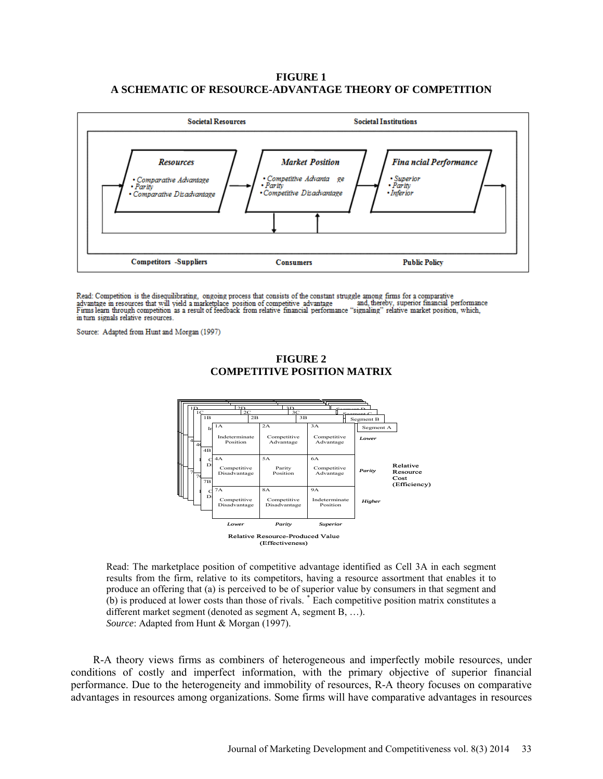## **FIGURE 1 A SCHEMATIC OF RESOURCE-ADVANTAGE THEORY OF COMPETITION**



Read: Competition is the disequilibrating, ongoing process that consists of the constant struggle among firms for a comparative advantage in resources that will yield a marketplace position of competitive advantage and, thereby, superior financial performance Firms learn through competition as a result of feedback from relative financial performanc and, thereby, superior financial performance in turn signals relative resources.

Source: Adapted from Hunt and Morgan (1997)



**FIGURE 2 COMPETITIVE POSITION MATRIX**

Read: The marketplace position of competitive advantage identified as Cell 3A in each segment results from the firm, relative to its competitors, having a resource assortment that enables it to produce an offering that (a) is perceived to be of superior value by consumers in that segment and (b) is produced at lower costs than those of rivals. \* Each competitive position matrix constitutes a different market segment (denoted as segment A, segment B, …). *Source*: Adapted from Hunt & Morgan (1997).

R-A theory views firms as combiners of heterogeneous and imperfectly mobile resources, under conditions of costly and imperfect information, with the primary objective of superior financial performance. Due to the heterogeneity and immobility of resources, R-A theory focuses on comparative advantages in resources among organizations. Some firms will have comparative advantages in resources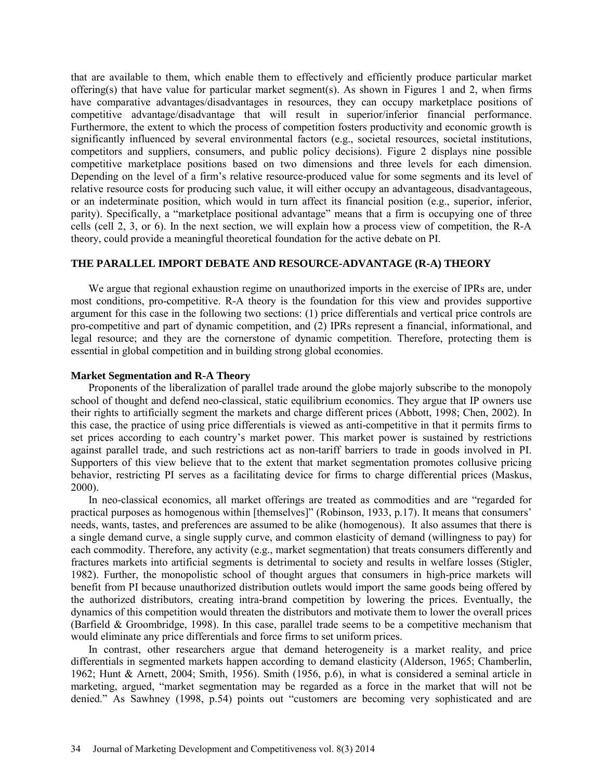that are available to them, which enable them to effectively and efficiently produce particular market offering(s) that have value for particular market segment(s). As shown in Figures 1 and 2, when firms have comparative advantages/disadvantages in resources, they can occupy marketplace positions of competitive advantage/disadvantage that will result in superior/inferior financial performance. Furthermore, the extent to which the process of competition fosters productivity and economic growth is significantly influenced by several environmental factors (e.g., societal resources, societal institutions, competitors and suppliers, consumers, and public policy decisions). Figure 2 displays nine possible competitive marketplace positions based on two dimensions and three levels for each dimension. Depending on the level of a firm's relative resource-produced value for some segments and its level of relative resource costs for producing such value, it will either occupy an advantageous, disadvantageous, or an indeterminate position, which would in turn affect its financial position (e.g., superior, inferior, parity). Specifically, a "marketplace positional advantage" means that a firm is occupying one of three cells (cell 2, 3, or 6). In the next section, we will explain how a process view of competition, the R-A theory, could provide a meaningful theoretical foundation for the active debate on PI.

## **THE PARALLEL IMPORT DEBATE AND RESOURCE-ADVANTAGE (R-A) THEORY**

We argue that regional exhaustion regime on unauthorized imports in the exercise of IPRs are, under most conditions, pro-competitive. R-A theory is the foundation for this view and provides supportive argument for this case in the following two sections: (1) price differentials and vertical price controls are pro-competitive and part of dynamic competition, and (2) IPRs represent a financial, informational, and legal resource; and they are the cornerstone of dynamic competition. Therefore, protecting them is essential in global competition and in building strong global economies.

#### **Market Segmentation and R-A Theory**

Proponents of the liberalization of parallel trade around the globe majorly subscribe to the monopoly school of thought and defend neo-classical, static equilibrium economics. They argue that IP owners use their rights to artificially segment the markets and charge different prices (Abbott, 1998; Chen, 2002). In this case, the practice of using price differentials is viewed as anti-competitive in that it permits firms to set prices according to each country's market power. This market power is sustained by restrictions against parallel trade, and such restrictions act as non-tariff barriers to trade in goods involved in PI. Supporters of this view believe that to the extent that market segmentation promotes collusive pricing behavior, restricting PI serves as a facilitating device for firms to charge differential prices (Maskus, 2000).

In neo-classical economics, all market offerings are treated as commodities and are "regarded for practical purposes as homogenous within [themselves]" (Robinson, 1933, p.17). It means that consumers' needs, wants, tastes, and preferences are assumed to be alike (homogenous). It also assumes that there is a single demand curve, a single supply curve, and common elasticity of demand (willingness to pay) for each commodity. Therefore, any activity (e.g., market segmentation) that treats consumers differently and fractures markets into artificial segments is detrimental to society and results in welfare losses (Stigler, 1982). Further, the monopolistic school of thought argues that consumers in high-price markets will benefit from PI because unauthorized distribution outlets would import the same goods being offered by the authorized distributors, creating intra-brand competition by lowering the prices. Eventually, the dynamics of this competition would threaten the distributors and motivate them to lower the overall prices (Barfield & Groombridge, 1998). In this case, parallel trade seems to be a competitive mechanism that would eliminate any price differentials and force firms to set uniform prices.

In contrast, other researchers argue that demand heterogeneity is a market reality, and price differentials in segmented markets happen according to demand elasticity (Alderson, 1965; Chamberlin, 1962; Hunt & Arnett, 2004; Smith, 1956). Smith (1956, p.6), in what is considered a seminal article in marketing, argued, "market segmentation may be regarded as a force in the market that will not be denied." As Sawhney (1998, p.54) points out "customers are becoming very sophisticated and are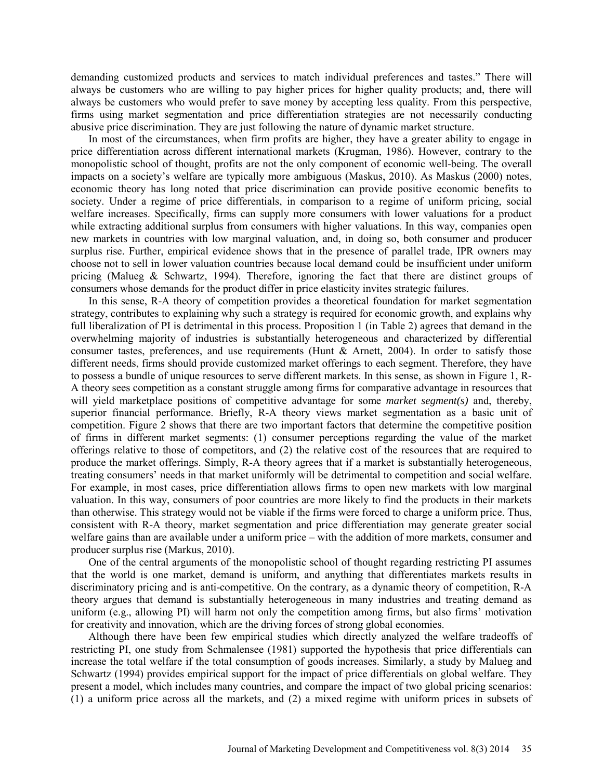demanding customized products and services to match individual preferences and tastes." There will always be customers who are willing to pay higher prices for higher quality products; and, there will always be customers who would prefer to save money by accepting less quality. From this perspective, firms using market segmentation and price differentiation strategies are not necessarily conducting abusive price discrimination. They are just following the nature of dynamic market structure.

In most of the circumstances, when firm profits are higher, they have a greater ability to engage in price differentiation across different international markets (Krugman, 1986). However, contrary to the monopolistic school of thought, profits are not the only component of economic well-being. The overall impacts on a society's welfare are typically more ambiguous (Maskus, 2010). As Maskus (2000) notes, economic theory has long noted that price discrimination can provide positive economic benefits to society. Under a regime of price differentials, in comparison to a regime of uniform pricing, social welfare increases. Specifically, firms can supply more consumers with lower valuations for a product while extracting additional surplus from consumers with higher valuations. In this way, companies open new markets in countries with low marginal valuation, and, in doing so, both consumer and producer surplus rise. Further, empirical evidence shows that in the presence of parallel trade, IPR owners may choose not to sell in lower valuation countries because local demand could be insufficient under uniform pricing (Malueg & Schwartz, 1994). Therefore, ignoring the fact that there are distinct groups of consumers whose demands for the product differ in price elasticity invites strategic failures.

In this sense, R-A theory of competition provides a theoretical foundation for market segmentation strategy, contributes to explaining why such a strategy is required for economic growth, and explains why full liberalization of PI is detrimental in this process. Proposition 1 (in Table 2) agrees that demand in the overwhelming majority of industries is substantially heterogeneous and characterized by differential consumer tastes, preferences, and use requirements (Hunt & Arnett, 2004). In order to satisfy those different needs, firms should provide customized market offerings to each segment. Therefore, they have to possess a bundle of unique resources to serve different markets. In this sense, as shown in Figure 1, R-A theory sees competition as a constant struggle among firms for comparative advantage in resources that will yield marketplace positions of competitive advantage for some *market segment(s)* and, thereby, superior financial performance. Briefly, R-A theory views market segmentation as a basic unit of competition. Figure 2 shows that there are two important factors that determine the competitive position of firms in different market segments: (1) consumer perceptions regarding the value of the market offerings relative to those of competitors, and (2) the relative cost of the resources that are required to produce the market offerings. Simply, R-A theory agrees that if a market is substantially heterogeneous, treating consumers' needs in that market uniformly will be detrimental to competition and social welfare. For example, in most cases, price differentiation allows firms to open new markets with low marginal valuation. In this way, consumers of poor countries are more likely to find the products in their markets than otherwise. This strategy would not be viable if the firms were forced to charge a uniform price. Thus, consistent with R-A theory, market segmentation and price differentiation may generate greater social welfare gains than are available under a uniform price – with the addition of more markets, consumer and producer surplus rise (Markus, 2010).

One of the central arguments of the monopolistic school of thought regarding restricting PI assumes that the world is one market, demand is uniform, and anything that differentiates markets results in discriminatory pricing and is anti-competitive. On the contrary, as a dynamic theory of competition, R-A theory argues that demand is substantially heterogeneous in many industries and treating demand as uniform (e.g., allowing PI) will harm not only the competition among firms, but also firms' motivation for creativity and innovation, which are the driving forces of strong global economies.

Although there have been few empirical studies which directly analyzed the welfare tradeoffs of restricting PI, one study from Schmalensee (1981) supported the hypothesis that price differentials can increase the total welfare if the total consumption of goods increases. Similarly, a study by Malueg and Schwartz (1994) provides empirical support for the impact of price differentials on global welfare. They present a model, which includes many countries, and compare the impact of two global pricing scenarios: (1) a uniform price across all the markets, and (2) a mixed regime with uniform prices in subsets of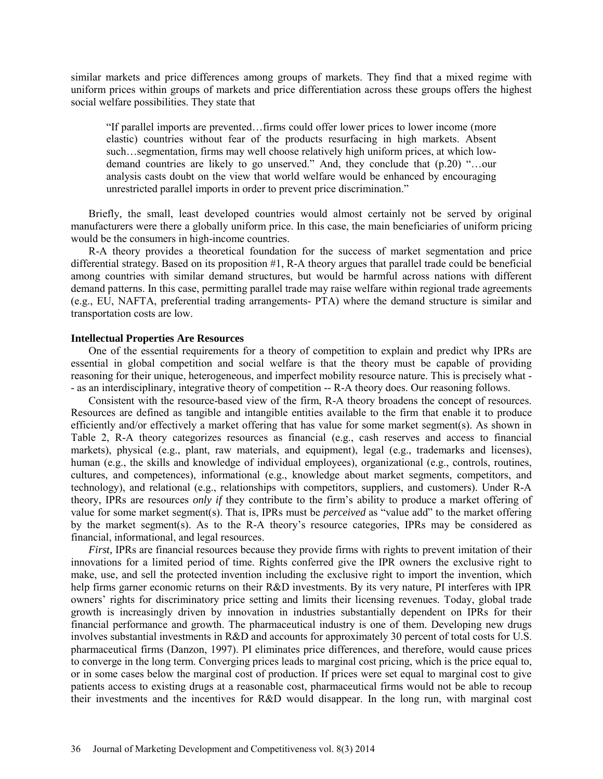similar markets and price differences among groups of markets. They find that a mixed regime with uniform prices within groups of markets and price differentiation across these groups offers the highest social welfare possibilities. They state that

"If parallel imports are prevented…firms could offer lower prices to lower income (more elastic) countries without fear of the products resurfacing in high markets. Absent such…segmentation, firms may well choose relatively high uniform prices, at which lowdemand countries are likely to go unserved." And, they conclude that (p.20) "…our analysis casts doubt on the view that world welfare would be enhanced by encouraging unrestricted parallel imports in order to prevent price discrimination."

Briefly, the small, least developed countries would almost certainly not be served by original manufacturers were there a globally uniform price. In this case, the main beneficiaries of uniform pricing would be the consumers in high-income countries.

R-A theory provides a theoretical foundation for the success of market segmentation and price differential strategy. Based on its proposition #1, R-A theory argues that parallel trade could be beneficial among countries with similar demand structures, but would be harmful across nations with different demand patterns. In this case, permitting parallel trade may raise welfare within regional trade agreements (e.g., EU, NAFTA, preferential trading arrangements- PTA) where the demand structure is similar and transportation costs are low.

#### **Intellectual Properties Are Resources**

One of the essential requirements for a theory of competition to explain and predict why IPRs are essential in global competition and social welfare is that the theory must be capable of providing reasoning for their unique, heterogeneous, and imperfect mobility resource nature. This is precisely what - - as an interdisciplinary, integrative theory of competition -- R-A theory does. Our reasoning follows.

Consistent with the resource-based view of the firm, R-A theory broadens the concept of resources. Resources are defined as tangible and intangible entities available to the firm that enable it to produce efficiently and/or effectively a market offering that has value for some market segment(s). As shown in Table 2, R-A theory categorizes resources as financial (e.g., cash reserves and access to financial markets), physical (e.g., plant, raw materials, and equipment), legal (e.g., trademarks and licenses), human (e.g., the skills and knowledge of individual employees), organizational (e.g., controls, routines, cultures, and competences), informational (e.g., knowledge about market segments, competitors, and technology), and relational (e.g., relationships with competitors, suppliers, and customers). Under R-A theory, IPRs are resources *only if* they contribute to the firm's ability to produce a market offering of value for some market segment(s). That is, IPRs must be *perceived* as "value add" to the market offering by the market segment(s). As to the R-A theory's resource categories, IPRs may be considered as financial, informational, and legal resources.

*First*, IPRs are financial resources because they provide firms with rights to prevent imitation of their innovations for a limited period of time. Rights conferred give the IPR owners the exclusive right to make, use, and sell the protected invention including the exclusive right to import the invention, which help firms garner economic returns on their R&D investments. By its very nature, PI interferes with IPR owners' rights for discriminatory price setting and limits their licensing revenues. Today, global trade growth is increasingly driven by innovation in industries substantially dependent on IPRs for their financial performance and growth. The pharmaceutical industry is one of them. Developing new drugs involves substantial investments in R&D and accounts for approximately 30 percent of total costs for U.S. pharmaceutical firms (Danzon, 1997). PI eliminates price differences, and therefore, would cause prices to converge in the long term. Converging prices leads to marginal cost pricing, which is the price equal to, or in some cases below the marginal cost of production. If prices were set equal to marginal cost to give patients access to existing drugs at a reasonable cost, pharmaceutical firms would not be able to recoup their investments and the incentives for R&D would disappear. In the long run, with marginal cost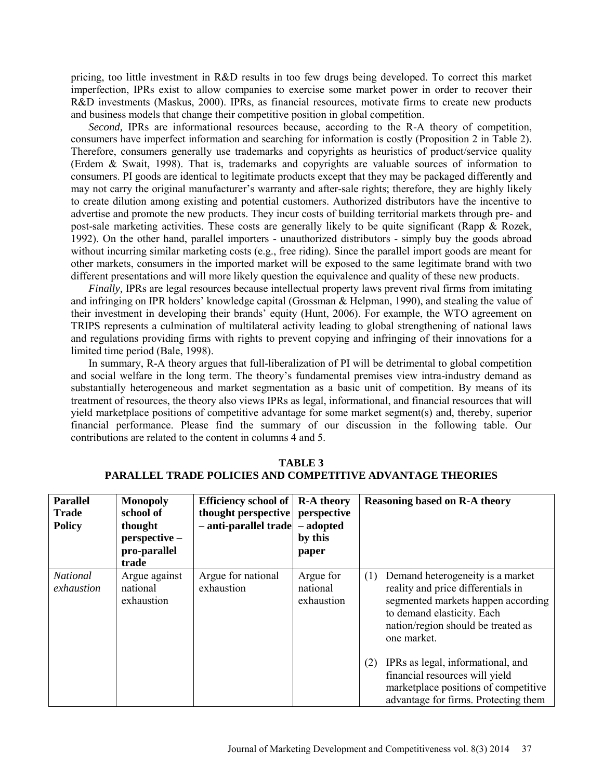pricing, too little investment in R&D results in too few drugs being developed. To correct this market imperfection, IPRs exist to allow companies to exercise some market power in order to recover their R&D investments (Maskus, 2000). IPRs, as financial resources, motivate firms to create new products and business models that change their competitive position in global competition.

*Second,* IPRs are informational resources because, according to the R-A theory of competition, consumers have imperfect information and searching for information is costly (Proposition 2 in Table 2). Therefore, consumers generally use trademarks and copyrights as heuristics of product/service quality (Erdem & Swait, 1998). That is, trademarks and copyrights are valuable sources of information to consumers. PI goods are identical to legitimate products except that they may be packaged differently and may not carry the original manufacturer's warranty and after-sale rights; therefore, they are highly likely to create dilution among existing and potential customers. Authorized distributors have the incentive to advertise and promote the new products. They incur costs of building territorial markets through pre- and post-sale marketing activities. These costs are generally likely to be quite significant (Rapp & Rozek, 1992). On the other hand, parallel importers - unauthorized distributors - simply buy the goods abroad without incurring similar marketing costs (e.g., free riding). Since the parallel import goods are meant for other markets, consumers in the imported market will be exposed to the same legitimate brand with two different presentations and will more likely question the equivalence and quality of these new products.

*Finally.* IPRs are legal resources because intellectual property laws prevent rival firms from imitating and infringing on IPR holders' knowledge capital (Grossman & Helpman, 1990), and stealing the value of their investment in developing their brands' equity (Hunt, 2006). For example, the WTO agreement on TRIPS represents a culmination of multilateral activity leading to global strengthening of national laws and regulations providing firms with rights to prevent copying and infringing of their innovations for a limited time period (Bale, 1998).

In summary, R-A theory argues that full-liberalization of PI will be detrimental to global competition and social welfare in the long term. The theory's fundamental premises view intra-industry demand as substantially heterogeneous and market segmentation as a basic unit of competition. By means of its treatment of resources, the theory also views IPRs as legal, informational, and financial resources that will yield marketplace positions of competitive advantage for some market segment(s) and, thereby, superior financial performance. Please find the summary of our discussion in the following table. Our contributions are related to the content in columns 4 and 5.

| <b>Parallel</b><br><b>Trade</b><br><b>Policy</b> | <b>Monopoly</b><br>school of<br>thought<br>perspective -<br>pro-parallel<br>trade | <b>Efficiency school of</b><br>thought perspective<br>- anti-parallel trade - adopted | <b>R-A theory</b><br>perspective<br>by this<br>paper |     | <b>Reasoning based on R-A theory</b>                                                                                                                                                            |
|--------------------------------------------------|-----------------------------------------------------------------------------------|---------------------------------------------------------------------------------------|------------------------------------------------------|-----|-------------------------------------------------------------------------------------------------------------------------------------------------------------------------------------------------|
| National<br>exhaustion                           | Argue against<br>national<br>exhaustion                                           | Argue for national<br>exhaustion                                                      | Argue for<br>national<br>exhaustion                  | (1) | Demand heterogeneity is a market<br>reality and price differentials in<br>segmented markets happen according<br>to demand elasticity. Each<br>nation/region should be treated as<br>one market. |
|                                                  |                                                                                   |                                                                                       |                                                      | (2) | IPRs as legal, informational, and<br>financial resources will yield<br>marketplace positions of competitive<br>advantage for firms. Protecting them                                             |

**TABLE 3 PARALLEL TRADE POLICIES AND COMPETITIVE ADVANTAGE THEORIES**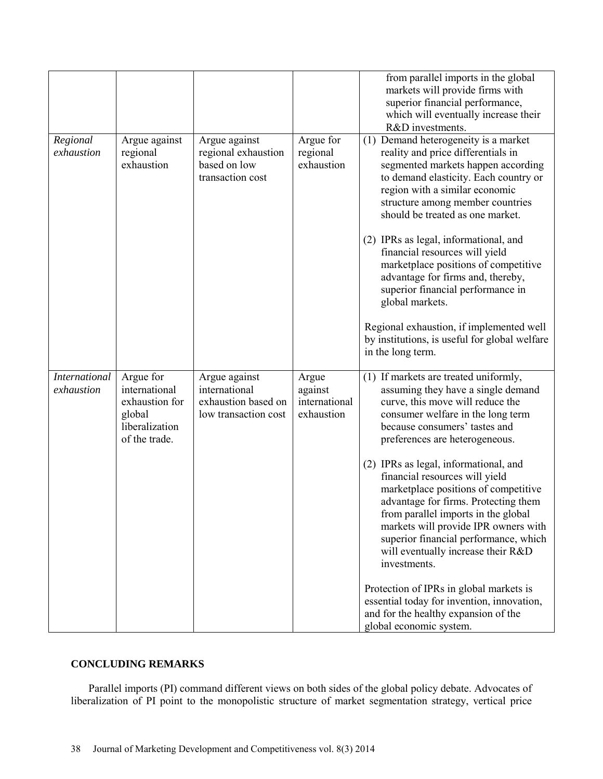|                                    |                                                                                           |                                                                               |                                                 | from parallel imports in the global<br>markets will provide firms with<br>superior financial performance,<br>which will eventually increase their<br>R&D investments.                                                                                                                                                                 |
|------------------------------------|-------------------------------------------------------------------------------------------|-------------------------------------------------------------------------------|-------------------------------------------------|---------------------------------------------------------------------------------------------------------------------------------------------------------------------------------------------------------------------------------------------------------------------------------------------------------------------------------------|
| Regional<br>exhaustion             | Argue against<br>regional<br>exhaustion                                                   | Argue against<br>regional exhaustion<br>based on low<br>transaction cost      | Argue for<br>regional<br>exhaustion             | (1) Demand heterogeneity is a market<br>reality and price differentials in<br>segmented markets happen according<br>to demand elasticity. Each country or<br>region with a similar economic<br>structure among member countries<br>should be treated as one market.                                                                   |
|                                    |                                                                                           |                                                                               |                                                 | (2) IPRs as legal, informational, and<br>financial resources will yield<br>marketplace positions of competitive<br>advantage for firms and, thereby,<br>superior financial performance in<br>global markets.                                                                                                                          |
|                                    |                                                                                           |                                                                               |                                                 | Regional exhaustion, if implemented well<br>by institutions, is useful for global welfare<br>in the long term.                                                                                                                                                                                                                        |
| <b>International</b><br>exhaustion | Argue for<br>international<br>exhaustion for<br>global<br>liberalization<br>of the trade. | Argue against<br>international<br>exhaustion based on<br>low transaction cost | Argue<br>against<br>international<br>exhaustion | (1) If markets are treated uniformly,<br>assuming they have a single demand<br>curve, this move will reduce the<br>consumer welfare in the long term<br>because consumers' tastes and<br>preferences are heterogeneous.                                                                                                               |
|                                    |                                                                                           |                                                                               |                                                 | (2) IPRs as legal, informational, and<br>financial resources will yield<br>marketplace positions of competitive<br>advantage for firms. Protecting them<br>from parallel imports in the global<br>markets will provide IPR owners with<br>superior financial performance, which<br>will eventually increase their R&D<br>investments. |
|                                    |                                                                                           |                                                                               |                                                 | Protection of IPRs in global markets is<br>essential today for invention, innovation,<br>and for the healthy expansion of the<br>global economic system.                                                                                                                                                                              |

# **CONCLUDING REMARKS**

Parallel imports (PI) command different views on both sides of the global policy debate. Advocates of liberalization of PI point to the monopolistic structure of market segmentation strategy, vertical price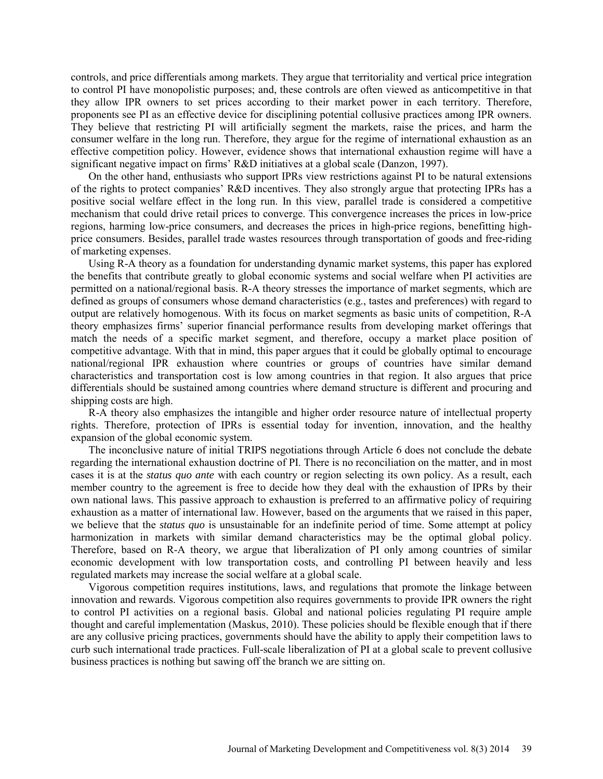controls, and price differentials among markets. They argue that territoriality and vertical price integration to control PI have monopolistic purposes; and, these controls are often viewed as anticompetitive in that they allow IPR owners to set prices according to their market power in each territory. Therefore, proponents see PI as an effective device for disciplining potential collusive practices among IPR owners. They believe that restricting PI will artificially segment the markets, raise the prices, and harm the consumer welfare in the long run. Therefore, they argue for the regime of international exhaustion as an effective competition policy. However, evidence shows that international exhaustion regime will have a significant negative impact on firms' R&D initiatives at a global scale (Danzon, 1997).

On the other hand, enthusiasts who support IPRs view restrictions against PI to be natural extensions of the rights to protect companies' R&D incentives. They also strongly argue that protecting IPRs has a positive social welfare effect in the long run. In this view, parallel trade is considered a competitive mechanism that could drive retail prices to converge. This convergence increases the prices in low-price regions, harming low-price consumers, and decreases the prices in high-price regions, benefitting highprice consumers. Besides, parallel trade wastes resources through transportation of goods and free-riding of marketing expenses.

Using R-A theory as a foundation for understanding dynamic market systems, this paper has explored the benefits that contribute greatly to global economic systems and social welfare when PI activities are permitted on a national/regional basis. R-A theory stresses the importance of market segments, which are defined as groups of consumers whose demand characteristics (e.g., tastes and preferences) with regard to output are relatively homogenous. With its focus on market segments as basic units of competition, R-A theory emphasizes firms' superior financial performance results from developing market offerings that match the needs of a specific market segment, and therefore, occupy a market place position of competitive advantage. With that in mind, this paper argues that it could be globally optimal to encourage national/regional IPR exhaustion where countries or groups of countries have similar demand characteristics and transportation cost is low among countries in that region. It also argues that price differentials should be sustained among countries where demand structure is different and procuring and shipping costs are high.

R-A theory also emphasizes the intangible and higher order resource nature of intellectual property rights. Therefore, protection of IPRs is essential today for invention, innovation, and the healthy expansion of the global economic system.

The inconclusive nature of initial TRIPS negotiations through Article 6 does not conclude the debate regarding the international exhaustion doctrine of PI. There is no reconciliation on the matter, and in most cases it is at the *status quo ante* with each country or region selecting its own policy. As a result, each member country to the agreement is free to decide how they deal with the exhaustion of IPRs by their own national laws. This passive approach to exhaustion is preferred to an affirmative policy of requiring exhaustion as a matter of international law. However, based on the arguments that we raised in this paper, we believe that the *status quo* is unsustainable for an indefinite period of time. Some attempt at policy harmonization in markets with similar demand characteristics may be the optimal global policy. Therefore, based on R-A theory, we argue that liberalization of PI only among countries of similar economic development with low transportation costs, and controlling PI between heavily and less regulated markets may increase the social welfare at a global scale.

Vigorous competition requires institutions, laws, and regulations that promote the linkage between innovation and rewards. Vigorous competition also requires governments to provide IPR owners the right to control PI activities on a regional basis. Global and national policies regulating PI require ample thought and careful implementation (Maskus, 2010). These policies should be flexible enough that if there are any collusive pricing practices, governments should have the ability to apply their competition laws to curb such international trade practices. Full-scale liberalization of PI at a global scale to prevent collusive business practices is nothing but sawing off the branch we are sitting on.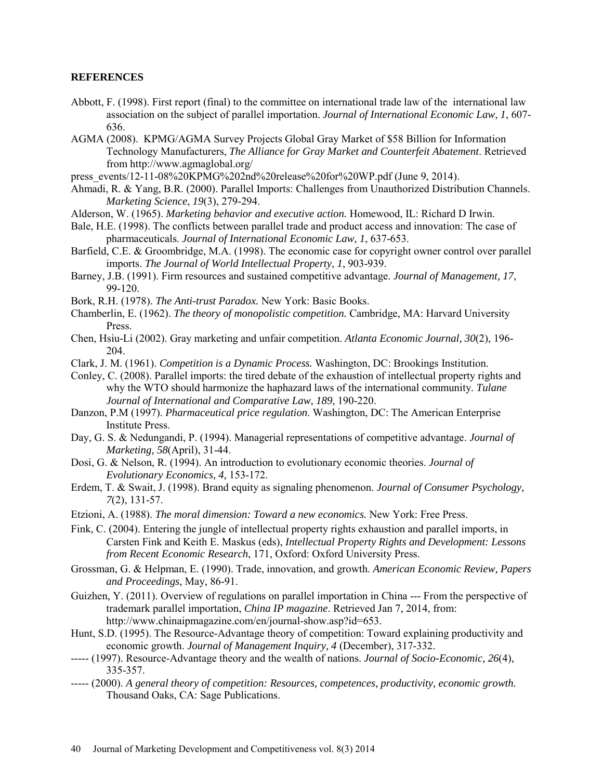## **REFERENCES**

- Abbott, F. (1998). First report (final) to the committee on international trade law of the international law association on the subject of parallel importation. *Journal of International Economic Law*, *1*, 607- 636.
- AGMA (2008). KPMG/AGMA Survey Projects Global Gray Market of \$58 Billion for Information Technology Manufacturers, *The Alliance for Gray Market and Counterfeit Abatement*. Retrieved from http://www.agmaglobal.org/
- press\_events/12-11-08%20KPMG%202nd%20release%20for%20WP.pdf (June 9, 2014).
- Ahmadi, R. & Yang, B.R. (2000). Parallel Imports: Challenges from Unauthorized Distribution Channels. *Marketing Science*, *19*(3), 279-294.
- Alderson, W. (1965). *Marketing behavior and executive action.* Homewood, IL: Richard D Irwin.
- Bale, H.E. (1998). The conflicts between parallel trade and product access and innovation: The case of pharmaceuticals. *Journal of International Economic Law*, *1*, 637-653.
- Barfield, C.E. & Groombridge, M.A. (1998). The economic case for copyright owner control over parallel imports. *The Journal of World Intellectual Property*, *1*, 903-939.
- Barney, J.B. (1991). Firm resources and sustained competitive advantage. *Journal of Management, 17*, 99-120.
- Bork, R.H. (1978). *The Anti-trust Paradox.* New York: Basic Books.
- Chamberlin, E. (1962). *The theory of monopolistic competition.* Cambridge, MA: Harvard University Press.
- Chen, Hsiu-Li (2002). Gray marketing and unfair competition. *Atlanta Economic Journal, 30*(2), 196- 204.
- Clark, J. M. (1961). *Competition is a Dynamic Process.* Washington, DC: Brookings Institution.
- Conley, C. (2008). Parallel imports: the tired debate of the exhaustion of intellectual property rights and why the WTO should harmonize the haphazard laws of the international community. *Tulane Journal of International and Comparative Law*, *189*, 190-220.
- Danzon, P.M (1997). *Pharmaceutical price regulation*. Washington, DC: The American Enterprise Institute Press.
- Day, G. S. & Nedungandi, P. (1994). Managerial representations of competitive advantage. *Journal of Marketing, 58*(April), 31-44.
- Dosi, G. & Nelson, R. (1994). An introduction to evolutionary economic theories. *Journal of Evolutionary Economics, 4,* 153-172.
- Erdem, T. & Swait, J. (1998). Brand equity as signaling phenomenon. *Journal of Consumer Psychology*, *7*(2), 131-57.
- Etzioni, A. (1988). *The moral dimension: Toward a new economics.* New York: Free Press.
- Fink, C. (2004). Entering the jungle of intellectual property rights exhaustion and parallel imports, in Carsten Fink and Keith E. Maskus (eds), *Intellectual Property Rights and Development: Lessons from Recent Economic Research*, 171, Oxford: Oxford University Press.
- Grossman, G. & Helpman, E. (1990). Trade, innovation, and growth. *American Economic Review, Papers and Proceedings,* May, 86-91.
- Guizhen, Y. (2011). Overview of regulations on parallel importation in China --- From the perspective of trademark parallel importation, *China IP magazine*. Retrieved Jan 7, 2014, from: [http://www.chinaipmagazine.com/en/journal-show.asp?id=653.](http://www.chinaipmagazine.com/en/journal-show.asp?id=653)
- Hunt, S.D. (1995). The Resource-Advantage theory of competition: Toward explaining productivity and economic growth. *Journal of Management Inquiry, 4* (December), 317-332.
- ----- (1997). Resource-Advantage theory and the wealth of nations. *Journal of Socio-Economic, 26*(4), 335-357.
- ----- (2000). *A general theory of competition: Resources, competences, productivity, economic growth.*  Thousand Oaks, CA: Sage Publications.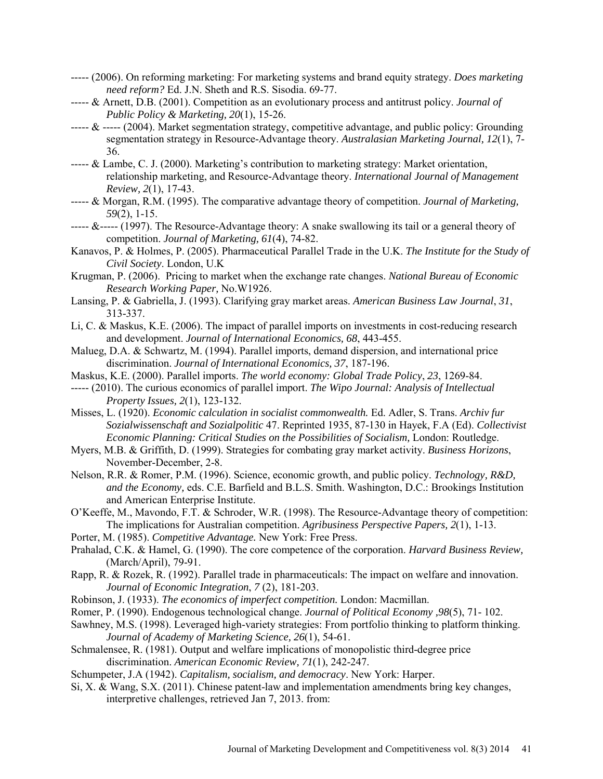- ----- (2006). On reforming marketing: For marketing systems and brand equity strategy. *Does marketing need reform?* Ed. J.N. Sheth and R.S. Sisodia. 69-77.
- ----- & Arnett, D.B. (2001). Competition as an evolutionary process and antitrust policy. *Journal of Public Policy & Marketing, 20*(1), 15-26.
- $\epsilon$ ----- & ----- (2004). Market segmentation strategy, competitive advantage, and public policy: Grounding segmentation strategy in Resource-Advantage theory. *Australasian Marketing Journal, 12*(1), 7- 36.
- ----- & Lambe, C. J. (2000). Marketing's contribution to marketing strategy: Market orientation, relationship marketing, and Resource-Advantage theory. *International Journal of Management Review, 2*(1), 17-43.
- ----- & Morgan, R.M. (1995). The comparative advantage theory of competition. *Journal of Marketing, 59*(2), 1-15.
- $\epsilon$ ----- &----- (1997). The Resource-Advantage theory: A snake swallowing its tail or a general theory of competition. *Journal of Marketing, 61*(4), 74-82.
- Kanavos, P. & Holmes, P. (2005). Pharmaceutical Parallel Trade in the U.K. *The Institute for the Study of Civil Society*. London, U.K
- Krugman, P. (2006). Pricing to market when the exchange rate changes. *National Bureau of Economic Research Working Paper,* No.W1926.
- Lansing, P. & Gabriella, J. (1993). Clarifying gray market areas. *American Business Law Journal*, *31*, 313-337.
- Li, C. & Maskus, K.E. (2006). The impact of parallel imports on investments in cost-reducing research and development. *Journal of International Economics, 68*, 443-455.
- Malueg, D.A. & Schwartz, M. (1994). Parallel imports, demand dispersion, and international price discrimination. *Journal of International Economics, 37*, 187-196.
- Maskus, K.E. (2000). Parallel imports. *The world economy: Global Trade Policy*, *23*, 1269-84.
- ----- (2010). The curious economics of parallel import. *The Wipo Journal: Analysis of Intellectual Property Issues, 2*(1), 123-132.
- Misses, L. (1920). *Economic calculation in socialist commonwealth.* Ed. Adler, S. Trans. *Archiv fur Sozialwissenschaft and Sozialpolitic* 47. Reprinted 1935, 87-130 in Hayek, F.A (Ed). *Collectivist Economic Planning: Critical Studies on the Possibilities of Socialism, London: Routledge.*
- Myers, M.B. & Griffith, D. (1999). Strategies for combating gray market activity. *Business Horizons*, November-December, 2-8.
- Nelson, R.R. & Romer, P.M. (1996). Science, economic growth, and public policy. *Technology, R&D, and the Economy,* eds. C.E. Barfield and B.L.S. Smith. Washington, D.C.: Brookings Institution and American Enterprise Institute.
- O'Keeffe, M., Mavondo, F.T. & Schroder, W.R. (1998). The Resource-Advantage theory of competition: The implications for Australian competition. *Agribusiness Perspective Papers, 2*(1), 1-13.
- Porter, M. (1985). *Competitive Advantage.* New York: Free Press.
- Prahalad, C.K. & Hamel, G. (1990). The core competence of the corporation. *Harvard Business Review,*  (March/April), 79-91.
- Rapp, R. & Rozek, R. (1992). Parallel trade in pharmaceuticals: The impact on welfare and innovation. *Journal of Economic Integration*, *7* (2), 181-203.
- Robinson, J. (1933). *The economics of imperfect competition.* London: Macmillan.
- Romer, P. (1990). Endogenous technological change. *Journal of Political Economy ,98*(5), 71- 102.
- Sawhney, M.S. (1998). Leveraged high-variety strategies: From portfolio thinking to platform thinking. *Journal of Academy of Marketing Science, 26*(1), 54-61.
- Schmalensee, R. (1981). Output and welfare implications of monopolistic third-degree price discrimination. *American Economic Review, 71*(1), 242-247.
- Schumpeter, J.A (1942). *Capitalism, socialism, and democracy*. New York: Harper.
- Si, X. & Wang, S.X. (2011). Chinese patent-law and implementation amendments bring key changes, interpretive challenges, retrieved Jan 7, 2013. from: